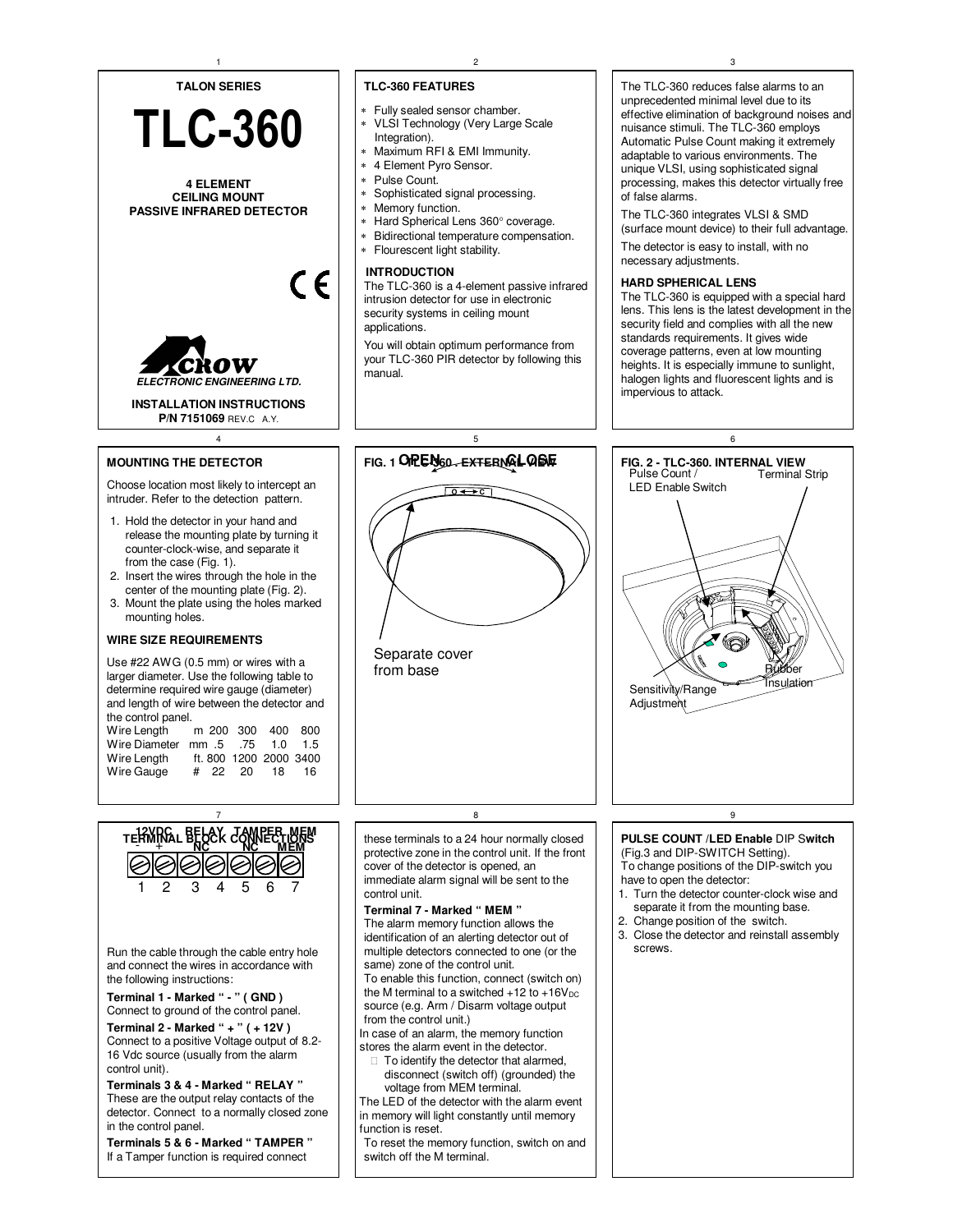

detector. Connect to a normally closed zone in the control panel.

**Terminals 5 & 6 - Marked " TAMPER "** If a Tamper function is required connect

The TLC-360 reduces false alarms to an unprecedented minimal level due to its effective elimination of background noises and nuisance stimuli. The TLC-360 employs Automatic Pulse Count making it extremely adaptable to various environments. The unique VLSI, using sophisticated signal processing, makes this detector virtually free

The TLC-360 integrates VLSI & SMD (surface mount device) to their full advantage.

The detector is easy to install, with no

The TLC-360 is equipped with a special hard lens. This lens is the latest development in the security field and complies with all the new standards requirements. It gives wide coverage patterns, even at low mounting heights. It is especially immune to sunlight, halogen lights and fluorescent lights and is



(Fig.3 and DIP-SWITCH Setting). To change positions of the DIP-switch you

- 1. Turn the detector counter-clock wise and separate it from the mounting base.
- 
- 3. Close the detector and reinstall assembly

The LED of the detector with the alarm event in memory will light constantly until memory function is reset.

To reset the memory function, switch on and switch off the M terminal.